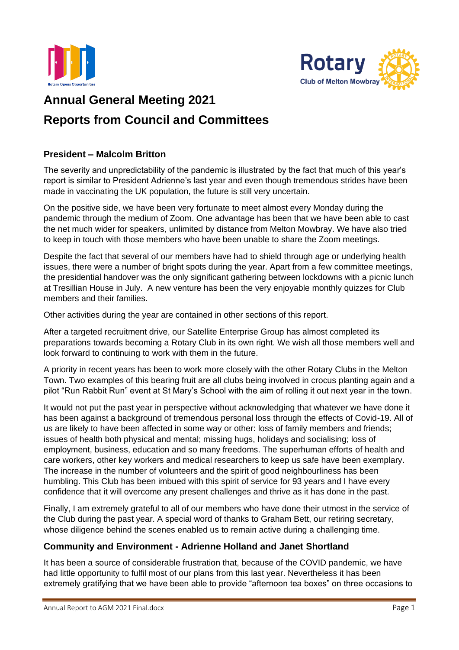



# **Annual General Meeting 2021 Reports from Council and Committees**

#### **President – Malcolm Britton**

The severity and unpredictability of the pandemic is illustrated by the fact that much of this year's report is similar to President Adrienne's last year and even though tremendous strides have been made in vaccinating the UK population, the future is still very uncertain.

On the positive side, we have been very fortunate to meet almost every Monday during the pandemic through the medium of Zoom. One advantage has been that we have been able to cast the net much wider for speakers, unlimited by distance from Melton Mowbray. We have also tried to keep in touch with those members who have been unable to share the Zoom meetings.

Despite the fact that several of our members have had to shield through age or underlying health issues, there were a number of bright spots during the year. Apart from a few committee meetings, the presidential handover was the only significant gathering between lockdowns with a picnic lunch at Tresillian House in July. A new venture has been the very enjoyable monthly quizzes for Club members and their families.

Other activities during the year are contained in other sections of this report.

After a targeted recruitment drive, our Satellite Enterprise Group has almost completed its preparations towards becoming a Rotary Club in its own right. We wish all those members well and look forward to continuing to work with them in the future.

A priority in recent years has been to work more closely with the other Rotary Clubs in the Melton Town. Two examples of this bearing fruit are all clubs being involved in crocus planting again and a pilot "Run Rabbit Run" event at St Mary's School with the aim of rolling it out next year in the town.

It would not put the past year in perspective without acknowledging that whatever we have done it has been against a background of tremendous personal loss through the effects of Covid-19. All of us are likely to have been affected in some way or other: loss of family members and friends; issues of health both physical and mental; missing hugs, holidays and socialising; loss of employment, business, education and so many freedoms. The superhuman efforts of health and care workers, other key workers and medical researchers to keep us safe have been exemplary. The increase in the number of volunteers and the spirit of good neighbourliness has been humbling. This Club has been imbued with this spirit of service for 93 years and I have every confidence that it will overcome any present challenges and thrive as it has done in the past.

Finally, I am extremely grateful to all of our members who have done their utmost in the service of the Club during the past year. A special word of thanks to Graham Bett, our retiring secretary, whose diligence behind the scenes enabled us to remain active during a challenging time.

# **Community and Environment - Adrienne Holland and Janet Shortland**

It has been a source of considerable frustration that, because of the COVID pandemic, we have had little opportunity to fulfil most of our plans from this last year. Nevertheless it has been extremely gratifying that we have been able to provide "afternoon tea boxes" on three occasions to